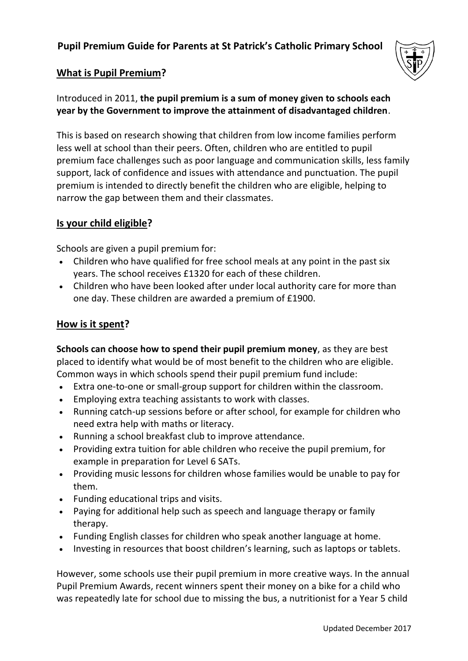# **Pupil Premium Guide for Parents at St Patrick's Catholic Primary School**



## **What is Pupil Premium?**

Introduced in 2011, **the pupil premium is a sum of money given to schools each year by the Government to improve the attainment of disadvantaged children**.

This is based on research showing that children from low income families perform less well at school than their peers. Often, children who are entitled to pupil premium face challenges such as poor language and communication skills, less family support, lack of confidence and issues with attendance and punctuation. The pupil premium is intended to directly benefit the children who are eligible, helping to narrow the gap between them and their classmates.

## **Is your child eligible?**

Schools are given a pupil premium for:

- Children who have qualified for free school meals at any point in the past six years. The school receives £1320 for each of these children.
- Children who have been looked after under local authority care for more than one day. These children are awarded a premium of £1900.

#### **How is it spent?**

**Schools can choose how to spend their pupil premium money**, as they are best placed to identify what would be of most benefit to the children who are eligible. Common ways in which schools spend their pupil premium fund include:

- Extra one-to-one or small-group support for children within the classroom.
- Employing extra teaching assistants to work with classes.
- Running catch-up sessions before or after school, for example for children who need extra help with maths or literacy.
- Running a school breakfast club to improve attendance.
- Providing extra tuition for able children who receive the pupil premium, for example in preparation for Level 6 SATs.
- Providing music lessons for children whose families would be unable to pay for them.
- Funding educational trips and visits.
- Paying for additional help such as speech and language therapy or family therapy.
- Funding English classes for children who speak another language at home.
- Investing in resources that boost children's learning, such as laptops or tablets.

However, some schools use their pupil premium in more creative ways. In the annual Pupil Premium Awards, recent winners spent their money on a bike for a child who was repeatedly late for school due to missing the bus, a nutritionist for a Year 5 child